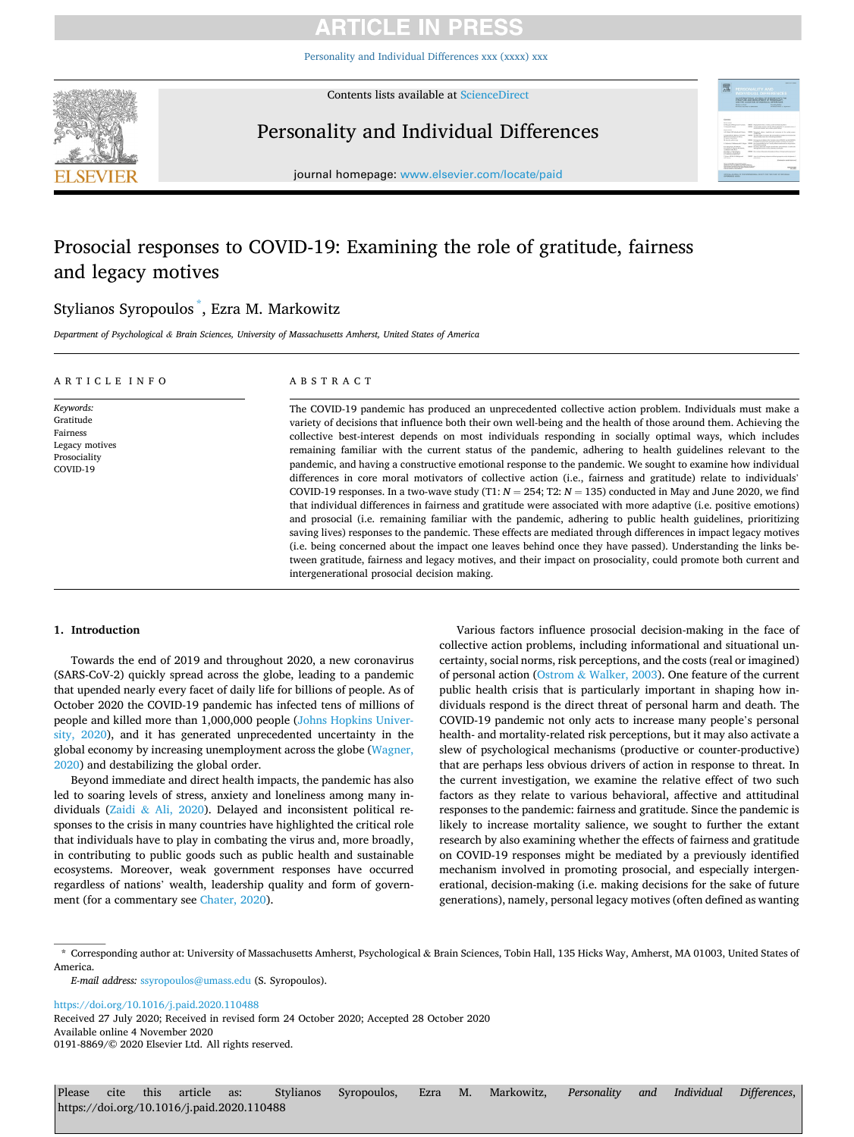[Personality and Individual Differences xxx \(xxxx\) xxx](https://doi.org/10.1016/j.paid.2020.110488)



Contents lists available at [ScienceDirect](www.sciencedirect.com/science/journal/01918869)

## Personality and Individual Differences



journal homepage: [www.elsevier.com/locate/paid](https://www.elsevier.com/locate/paid)

## Prosocial responses to COVID-19: Examining the role of gratitude, fairness and legacy motives

## Stylianos Syropoulos \* , Ezra M. Markowitz

*Department of Psychological & Brain Sciences, University of Massachusetts Amherst, United States of America* 

| ARTICLE INFO                                                                     | ABSTRACT                                                                                                                                                                                                                                                                                                                                                                                                                                                                                                                                                                                                                                                                                                                                                                                                                                                                                                                                                                                                                                                                                                                                                                                                                                                                                                                                                                                                                                             |  |  |  |  |  |
|----------------------------------------------------------------------------------|------------------------------------------------------------------------------------------------------------------------------------------------------------------------------------------------------------------------------------------------------------------------------------------------------------------------------------------------------------------------------------------------------------------------------------------------------------------------------------------------------------------------------------------------------------------------------------------------------------------------------------------------------------------------------------------------------------------------------------------------------------------------------------------------------------------------------------------------------------------------------------------------------------------------------------------------------------------------------------------------------------------------------------------------------------------------------------------------------------------------------------------------------------------------------------------------------------------------------------------------------------------------------------------------------------------------------------------------------------------------------------------------------------------------------------------------------|--|--|--|--|--|
| Keywords:<br>Gratitude<br>Fairness<br>Legacy motives<br>Prosociality<br>COVID-19 | The COVID-19 pandemic has produced an unprecedented collective action problem. Individuals must make a<br>variety of decisions that influence both their own well-being and the health of those around them. Achieving the<br>collective best-interest depends on most individuals responding in socially optimal ways, which includes<br>remaining familiar with the current status of the pandemic, adhering to health guidelines relevant to the<br>pandemic, and having a constructive emotional response to the pandemic. We sought to examine how individual<br>differences in core moral motivators of collective action (i.e., fairness and gratitude) relate to individuals'<br>COVID-19 responses. In a two-wave study (T1: $N = 254$ ; T2: $N = 135$ ) conducted in May and June 2020, we find<br>that individual differences in fairness and gratitude were associated with more adaptive (i.e. positive emotions)<br>and prosocial (i.e. remaining familiar with the pandemic, adhering to public health guidelines, prioritizing<br>saving lives) responses to the pandemic. These effects are mediated through differences in impact legacy motives<br>(i.e. being concerned about the impact one leaves behind once they have passed). Understanding the links be-<br>tween gratitude, fairness and legacy motives, and their impact on prosociality, could promote both current and<br>intergenerational prosocial decision making. |  |  |  |  |  |

## **1. Introduction**

Towards the end of 2019 and throughout 2020, a new coronavirus (SARS-CoV-2) quickly spread across the globe, leading to a pandemic that upended nearly every facet of daily life for billions of people. As of October 2020 the COVID-19 pandemic has infected tens of millions of people and killed more than 1,000,000 people ([Johns Hopkins Univer](#page-7-0)[sity, 2020](#page-7-0)), and it has generated unprecedented uncertainty in the global economy by increasing unemployment across the globe [\(Wagner,](#page-7-0)  [2020\)](#page-7-0) and destabilizing the global order.

Beyond immediate and direct health impacts, the pandemic has also led to soaring levels of stress, anxiety and loneliness among many individuals (Zaidi & [Ali, 2020](#page-7-0)). Delayed and inconsistent political responses to the crisis in many countries have highlighted the critical role that individuals have to play in combating the virus and, more broadly, in contributing to public goods such as public health and sustainable ecosystems. Moreover, weak government responses have occurred regardless of nations' wealth, leadership quality and form of government (for a commentary see [Chater, 2020\)](#page-7-0).

Various factors influence prosocial decision-making in the face of collective action problems, including informational and situational uncertainty, social norms, risk perceptions, and the costs (real or imagined) of personal action (Ostrom & [Walker, 2003\)](#page-7-0). One feature of the current public health crisis that is particularly important in shaping how individuals respond is the direct threat of personal harm and death. The COVID-19 pandemic not only acts to increase many people's personal health- and mortality-related risk perceptions, but it may also activate a slew of psychological mechanisms (productive or counter-productive) that are perhaps less obvious drivers of action in response to threat. In the current investigation, we examine the relative effect of two such factors as they relate to various behavioral, affective and attitudinal responses to the pandemic: fairness and gratitude. Since the pandemic is likely to increase mortality salience, we sought to further the extant research by also examining whether the effects of fairness and gratitude on COVID-19 responses might be mediated by a previously identified mechanism involved in promoting prosocial, and especially intergenerational, decision-making (i.e. making decisions for the sake of future generations), namely, personal legacy motives (often defined as wanting

<https://doi.org/10.1016/j.paid.2020.110488>

Available online 4 November 2020 0191-8869/© 2020 Elsevier Ltd. All rights reserved. Received 27 July 2020; Received in revised form 24 October 2020; Accepted 28 October 2020

<sup>\*</sup> Corresponding author at: University of Massachusetts Amherst, Psychological & Brain Sciences, Tobin Hall, 135 Hicks Way, Amherst, MA 01003, United States of **America** 

*E-mail address:* [ssyropoulos@umass.edu](mailto:ssyropoulos@umass.edu) (S. Syropoulos).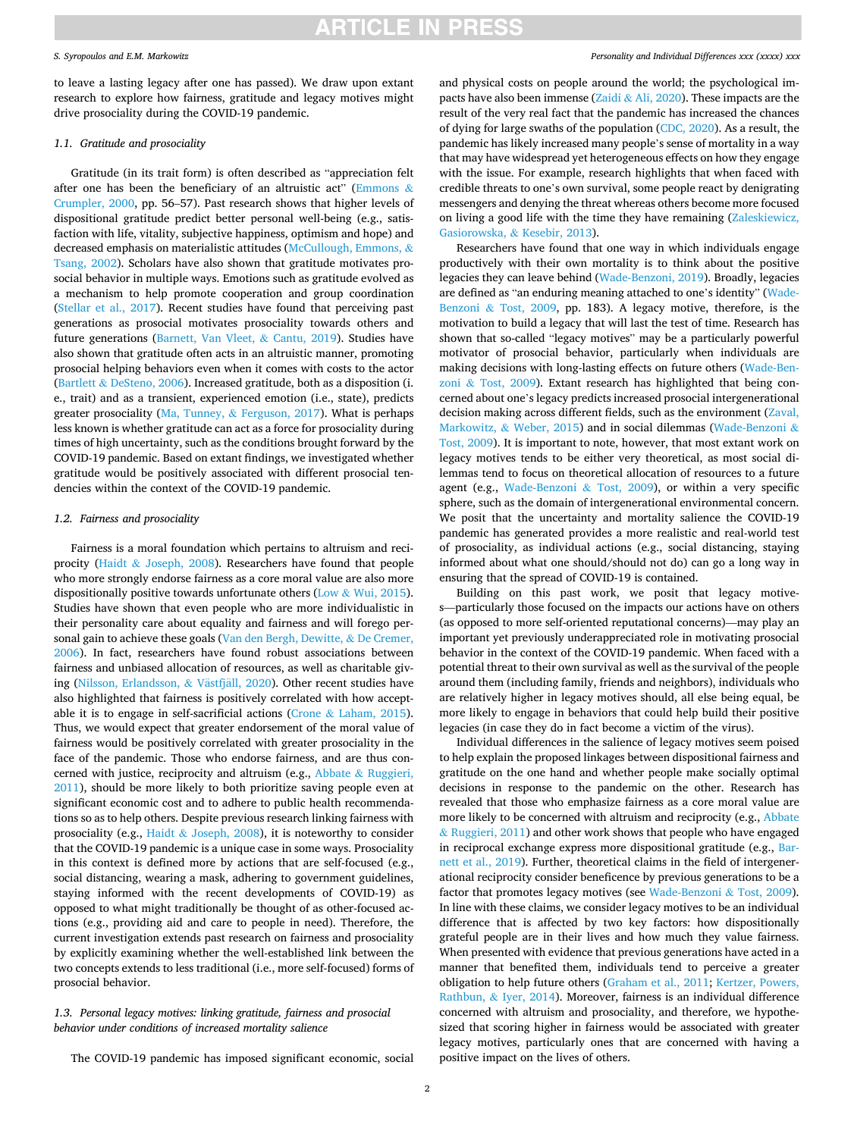### *S. Syropoulos and E.M. Markowitz*

to leave a lasting legacy after one has passed). We draw upon extant research to explore how fairness, gratitude and legacy motives might drive prosociality during the COVID-19 pandemic.

### *1.1. Gratitude and prosociality*

Gratitude (in its trait form) is often described as "appreciation felt after one has been the beneficiary of an altruistic act" [\(Emmons](#page-7-0)  $\&$ [Crumpler, 2000,](#page-7-0) pp. 56–57). Past research shows that higher levels of dispositional gratitude predict better personal well-being (e.g., satisfaction with life, vitality, subjective happiness, optimism and hope) and decreased emphasis on materialistic attitudes [\(McCullough, Emmons,](#page-7-0) & [Tsang, 2002\)](#page-7-0). Scholars have also shown that gratitude motivates prosocial behavior in multiple ways. Emotions such as gratitude evolved as a mechanism to help promote cooperation and group coordination ([Stellar et al., 2017\)](#page-7-0). Recent studies have found that perceiving past generations as prosocial motivates prosociality towards others and future generations [\(Barnett, Van Vleet,](#page-7-0) & Cantu, 2019). Studies have also shown that gratitude often acts in an altruistic manner, promoting prosocial helping behaviors even when it comes with costs to the actor (Bartlett  $\&$  [DeSteno, 2006](#page-7-0)). Increased gratitude, both as a disposition (i. e., trait) and as a transient, experienced emotion (i.e., state), predicts greater prosociality (Ma, Tunney,  $\&$  [Ferguson, 2017](#page-7-0)). What is perhaps less known is whether gratitude can act as a force for prosociality during times of high uncertainty, such as the conditions brought forward by the COVID-19 pandemic. Based on extant findings, we investigated whether gratitude would be positively associated with different prosocial tendencies within the context of the COVID-19 pandemic.

### *1.2. Fairness and prosociality*

Fairness is a moral foundation which pertains to altruism and reciprocity (Haidt & [Joseph, 2008\)](#page-7-0). Researchers have found that people who more strongly endorse fairness as a core moral value are also more dispositionally positive towards unfortunate others (Low  $&$  [Wui, 2015](#page-7-0)). Studies have shown that even people who are more individualistic in their personality care about equality and fairness and will forego personal gain to achieve these goals [\(Van den Bergh, Dewitte,](#page-7-0) & De Cremer, [2006\)](#page-7-0). In fact, researchers have found robust associations between fairness and unbiased allocation of resources, as well as charitable giv-ing [\(Nilsson, Erlandsson,](#page-7-0) & Västfjäll, 2020). Other recent studies have also highlighted that fairness is positively correlated with how acceptable it is to engage in self-sacrificial actions (Crone  $\&$  [Laham, 2015](#page-7-0)). Thus, we would expect that greater endorsement of the moral value of fairness would be positively correlated with greater prosociality in the face of the pandemic. Those who endorse fairness, and are thus concerned with justice, reciprocity and altruism (e.g., Abbate & [Ruggieri,](#page-7-0)  [2011\)](#page-7-0), should be more likely to both prioritize saving people even at significant economic cost and to adhere to public health recommendations so as to help others. Despite previous research linking fairness with prosociality (e.g., Haidt & [Joseph, 2008](#page-7-0)), it is noteworthy to consider that the COVID-19 pandemic is a unique case in some ways. Prosociality in this context is defined more by actions that are self-focused (e.g., social distancing, wearing a mask, adhering to government guidelines, staying informed with the recent developments of COVID-19) as opposed to what might traditionally be thought of as other-focused actions (e.g., providing aid and care to people in need). Therefore, the current investigation extends past research on fairness and prosociality by explicitly examining whether the well-established link between the two concepts extends to less traditional (i.e., more self-focused) forms of prosocial behavior.

## *1.3. Personal legacy motives: linking gratitude, fairness and prosocial behavior under conditions of increased mortality salience*

The COVID-19 pandemic has imposed significant economic, social

### *Personality and Individual Differences xxx (xxxx) xxx*

and physical costs on people around the world; the psychological im-pacts have also been immense (Zaidi & [Ali, 2020](#page-7-0)). These impacts are the result of the very real fact that the pandemic has increased the chances of dying for large swaths of the population ([CDC, 2020](#page-7-0)). As a result, the pandemic has likely increased many people's sense of mortality in a way that may have widespread yet heterogeneous effects on how they engage with the issue. For example, research highlights that when faced with credible threats to one's own survival, some people react by denigrating messengers and denying the threat whereas others become more focused on living a good life with the time they have remaining ([Zaleskiewicz,](#page-7-0)  [Gasiorowska,](#page-7-0) & Kesebir, 2013).

Researchers have found that one way in which individuals engage productively with their own mortality is to think about the positive legacies they can leave behind [\(Wade-Benzoni, 2019\)](#page-7-0). Broadly, legacies are defined as "an enduring meaning attached to one's identity" [\(Wade-](#page-7-0)Benzoni & [Tost, 2009](#page-7-0), pp. 183). A legacy motive, therefore, is the motivation to build a legacy that will last the test of time. Research has shown that so-called "legacy motives" may be a particularly powerful motivator of prosocial behavior, particularly when individuals are making decisions with long-lasting effects on future others [\(Wade-Ben](#page-7-0)zoni & [Tost, 2009\)](#page-7-0). Extant research has highlighted that being concerned about one's legacy predicts increased prosocial intergenerational decision making across different fields, such as the environment [\(Zaval,](#page-7-0)  Markowitz, & [Weber, 2015](#page-7-0)) and in social dilemmas [\(Wade-Benzoni](#page-7-0) & [Tost, 2009](#page-7-0)). It is important to note, however, that most extant work on legacy motives tends to be either very theoretical, as most social dilemmas tend to focus on theoretical allocation of resources to a future agent (e.g., [Wade-Benzoni](#page-7-0) & Tost, 2009), or within a very specific sphere, such as the domain of intergenerational environmental concern. We posit that the uncertainty and mortality salience the COVID-19 pandemic has generated provides a more realistic and real-world test of prosociality, as individual actions (e.g., social distancing, staying informed about what one should/should not do) can go a long way in ensuring that the spread of COVID-19 is contained.

Building on this past work, we posit that legacy motives—particularly those focused on the impacts our actions have on others (as opposed to more self-oriented reputational concerns)—may play an important yet previously underappreciated role in motivating prosocial behavior in the context of the COVID-19 pandemic. When faced with a potential threat to their own survival as well as the survival of the people around them (including family, friends and neighbors), individuals who are relatively higher in legacy motives should, all else being equal, be more likely to engage in behaviors that could help build their positive legacies (in case they do in fact become a victim of the virus).

Individual differences in the salience of legacy motives seem poised to help explain the proposed linkages between dispositional fairness and gratitude on the one hand and whether people make socially optimal decisions in response to the pandemic on the other. Research has revealed that those who emphasize fairness as a core moral value are more likely to be concerned with altruism and reciprocity (e.g., [Abbate](#page-7-0)  & [Ruggieri, 2011\)](#page-7-0) and other work shows that people who have engaged in reciprocal exchange express more dispositional gratitude (e.g., [Bar](#page-7-0)[nett et al., 2019\)](#page-7-0). Further, theoretical claims in the field of intergenerational reciprocity consider beneficence by previous generations to be a factor that promotes legacy motives (see [Wade-Benzoni](#page-7-0) & Tost, 2009). In line with these claims, we consider legacy motives to be an individual difference that is affected by two key factors: how dispositionally grateful people are in their lives and how much they value fairness. When presented with evidence that previous generations have acted in a manner that benefited them, individuals tend to perceive a greater obligation to help future others ([Graham et al., 2011;](#page-7-0) [Kertzer, Powers,](#page-7-0)  Rathbun, & [Iyer, 2014](#page-7-0)). Moreover, fairness is an individual difference concerned with altruism and prosociality, and therefore, we hypothesized that scoring higher in fairness would be associated with greater legacy motives, particularly ones that are concerned with having a positive impact on the lives of others.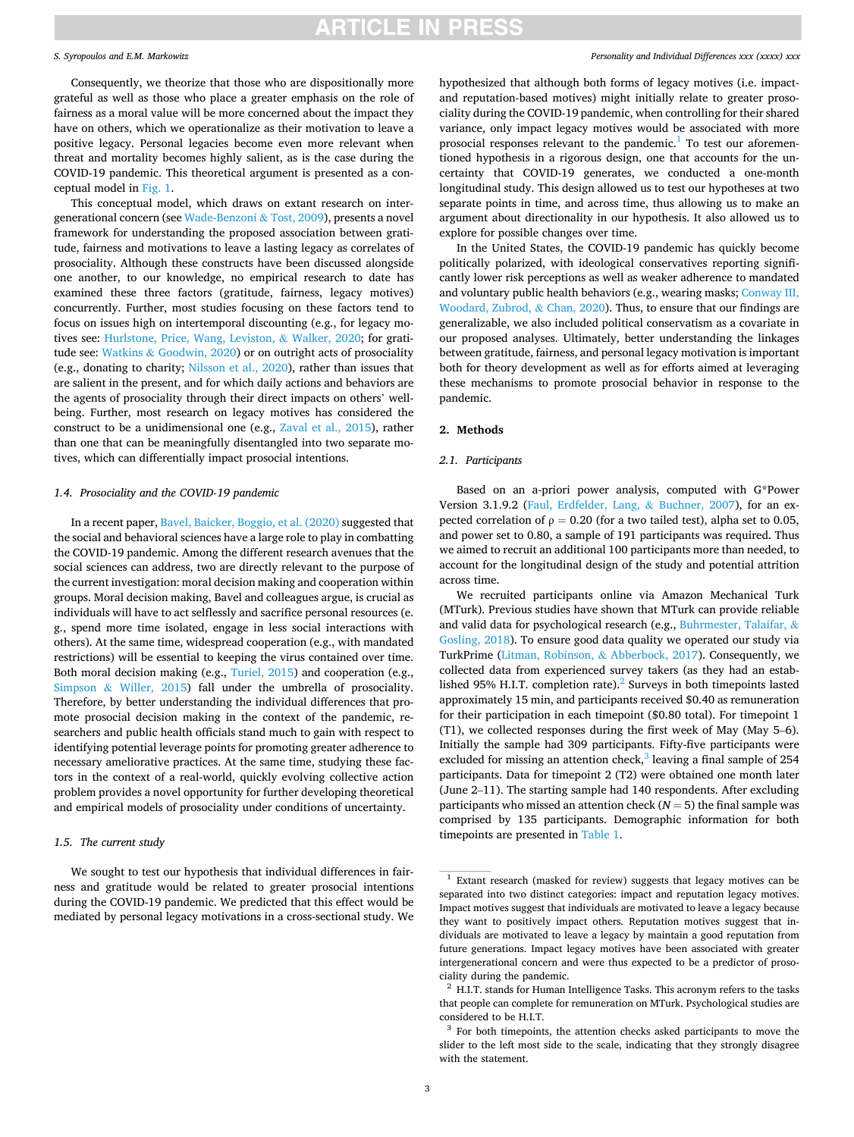### *S. Syropoulos and E.M. Markowitz*

Consequently, we theorize that those who are dispositionally more grateful as well as those who place a greater emphasis on the role of fairness as a moral value will be more concerned about the impact they have on others, which we operationalize as their motivation to leave a positive legacy. Personal legacies become even more relevant when threat and mortality becomes highly salient, as is the case during the COVID-19 pandemic. This theoretical argument is presented as a conceptual model in [Fig. 1](#page-3-0).

This conceptual model, which draws on extant research on intergenerational concern (see [Wade-Benzoni](#page-7-0) & Tost, 2009), presents a novel framework for understanding the proposed association between gratitude, fairness and motivations to leave a lasting legacy as correlates of prosociality. Although these constructs have been discussed alongside one another, to our knowledge, no empirical research to date has examined these three factors (gratitude, fairness, legacy motives) concurrently. Further, most studies focusing on these factors tend to focus on issues high on intertemporal discounting (e.g., for legacy motives see: [Hurlstone, Price, Wang, Leviston,](#page-7-0) & Walker, 2020; for gratitude see: Watkins & [Goodwin, 2020\)](#page-7-0) or on outright acts of prosociality (e.g., donating to charity; [Nilsson et al., 2020\)](#page-7-0), rather than issues that are salient in the present, and for which daily actions and behaviors are the agents of prosociality through their direct impacts on others' wellbeing. Further, most research on legacy motives has considered the construct to be a unidimensional one (e.g., [Zaval et al., 2015](#page-7-0)), rather than one that can be meaningfully disentangled into two separate motives, which can differentially impact prosocial intentions.

### *1.4. Prosociality and the COVID-19 pandemic*

In a recent paper, [Bavel, Baicker, Boggio, et al. \(2020\)](#page-7-0) suggested that the social and behavioral sciences have a large role to play in combatting the COVID-19 pandemic. Among the different research avenues that the social sciences can address, two are directly relevant to the purpose of the current investigation: moral decision making and cooperation within groups. Moral decision making, Bavel and colleagues argue, is crucial as individuals will have to act selflessly and sacrifice personal resources (e. g., spend more time isolated, engage in less social interactions with others). At the same time, widespread cooperation (e.g., with mandated restrictions) will be essential to keeping the virus contained over time. Both moral decision making (e.g., [Turiel, 2015\)](#page-7-0) and cooperation (e.g., Simpson & [Willer, 2015](#page-7-0)) fall under the umbrella of prosociality. Therefore, by better understanding the individual differences that promote prosocial decision making in the context of the pandemic, researchers and public health officials stand much to gain with respect to identifying potential leverage points for promoting greater adherence to necessary ameliorative practices. At the same time, studying these factors in the context of a real-world, quickly evolving collective action problem provides a novel opportunity for further developing theoretical and empirical models of prosociality under conditions of uncertainty.

## *1.5. The current study*

We sought to test our hypothesis that individual differences in fairness and gratitude would be related to greater prosocial intentions during the COVID-19 pandemic. We predicted that this effect would be mediated by personal legacy motivations in a cross-sectional study. We

### *Personality and Individual Differences xxx (xxxx) xxx*

hypothesized that although both forms of legacy motives (i.e. impactand reputation-based motives) might initially relate to greater prosociality during the COVID-19 pandemic, when controlling for their shared variance, only impact legacy motives would be associated with more prosocial responses relevant to the pandemic.<sup>1</sup> To test our aforementioned hypothesis in a rigorous design, one that accounts for the uncertainty that COVID-19 generates, we conducted a one-month longitudinal study. This design allowed us to test our hypotheses at two separate points in time, and across time, thus allowing us to make an argument about directionality in our hypothesis. It also allowed us to explore for possible changes over time.

In the United States, the COVID-19 pandemic has quickly become politically polarized, with ideological conservatives reporting significantly lower risk perceptions as well as weaker adherence to mandated and voluntary public health behaviors (e.g., wearing masks; [Conway III,](#page-7-0)  [Woodard, Zubrod,](#page-7-0) & Chan, 2020). Thus, to ensure that our findings are generalizable, we also included political conservatism as a covariate in our proposed analyses. Ultimately, better understanding the linkages between gratitude, fairness, and personal legacy motivation is important both for theory development as well as for efforts aimed at leveraging these mechanisms to promote prosocial behavior in response to the pandemic.

#### **2. Methods**

### *2.1. Participants*

Based on an a-priori power analysis, computed with G\*Power Version 3.1.9.2 [\(Faul, Erdfelder, Lang,](#page-7-0) & Buchner, 2007), for an expected correlation of  $\rho = 0.20$  (for a two tailed test), alpha set to 0.05, and power set to 0.80, a sample of 191 participants was required. Thus we aimed to recruit an additional 100 participants more than needed, to account for the longitudinal design of the study and potential attrition across time.

We recruited participants online via Amazon Mechanical Turk (MTurk). Previous studies have shown that MTurk can provide reliable and valid data for psychological research (e.g., [Buhrmester, Talaifar,](#page-7-0) & [Gosling, 2018\)](#page-7-0). To ensure good data quality we operated our study via TurkPrime ([Litman, Robinson,](#page-7-0) & Abberbock, 2017). Consequently, we collected data from experienced survey takers (as they had an established 95% H.I.T. completion rate). $^{2}$  Surveys in both timepoints lasted approximately 15 min, and participants received \$0.40 as remuneration for their participation in each timepoint (\$0.80 total). For timepoint 1 (T1), we collected responses during the first week of May (May 5–6). Initially the sample had 309 participants. Fifty-five participants were excluded for missing an attention check, $3$  leaving a final sample of 254 participants. Data for timepoint 2 (T2) were obtained one month later (June 2–11). The starting sample had 140 respondents. After excluding participants who missed an attention check ( $N = 5$ ) the final sample was comprised by 135 participants. Demographic information for both timepoints are presented in [Table 1](#page-3-0).

 $1$  Extant research (masked for review) suggests that legacy motives can be separated into two distinct categories: impact and reputation legacy motives. Impact motives suggest that individuals are motivated to leave a legacy because they want to positively impact others. Reputation motives suggest that individuals are motivated to leave a legacy by maintain a good reputation from future generations. Impact legacy motives have been associated with greater intergenerational concern and were thus expected to be a predictor of prosociality during the pandemic.<br><sup>2</sup> H.I.T. stands for Human Intelligence Tasks. This acronym refers to the tasks

that people can complete for remuneration on MTurk. Psychological studies are considered to be H.I.T.  $3$  For both timepoints, the attention checks asked participants to move the

slider to the left most side to the scale, indicating that they strongly disagree with the statement.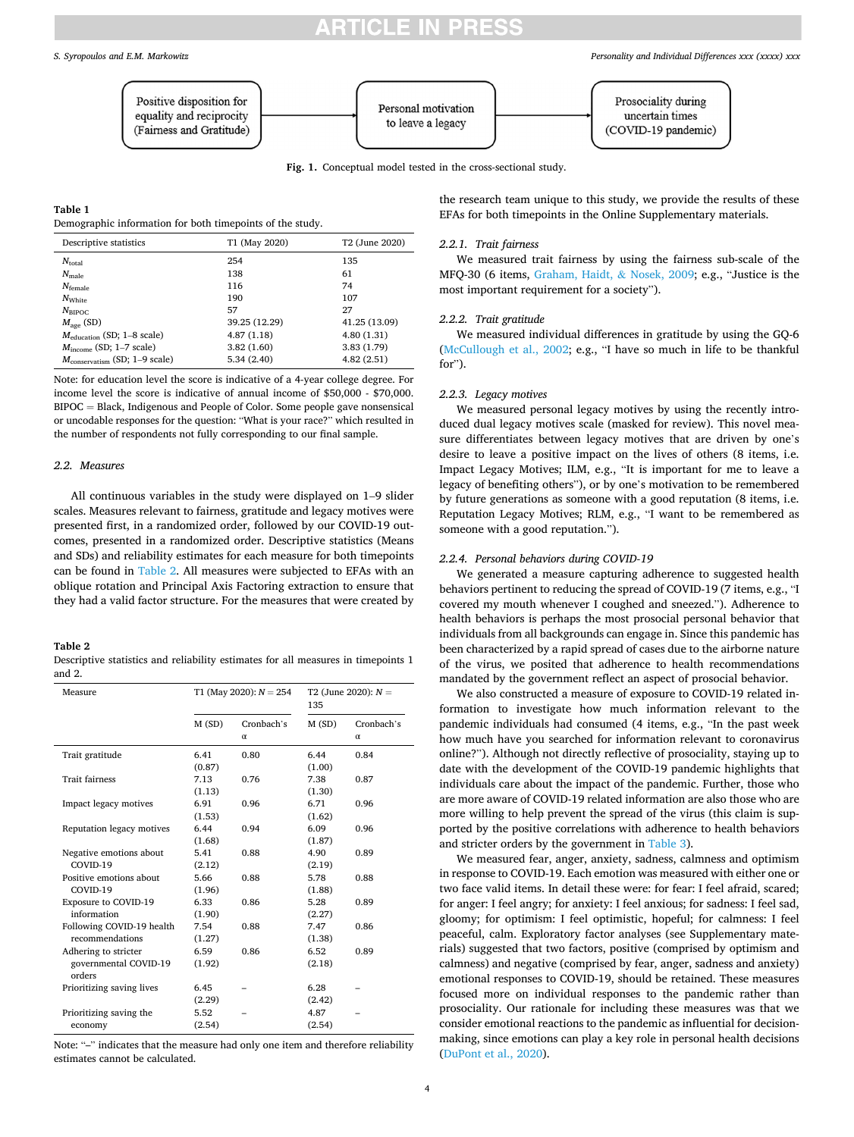## ICI E IN PRE

<span id="page-3-0"></span>

**Fig. 1.** Conceptual model tested in the cross-sectional study.

### **Table 1**

Demographic information for both timepoints of the study.

| Descriptive statistics                    | T1 (May 2020) | T <sub>2</sub> (June 2020) |  |  |
|-------------------------------------------|---------------|----------------------------|--|--|
| $N_{\text{total}}$                        | 254           | 135                        |  |  |
| $N_{\text{male}}$                         | 138           | 61                         |  |  |
| $N_{\text{female}}$                       | 116           | 74                         |  |  |
| $N_{\text{White}}$                        | 190           | 107                        |  |  |
| $N_{\rm BIPOC}$                           | 57            | 27                         |  |  |
| $M_{\text{age}}$ (SD)                     | 39.25 (12.29) | 41.25 (13.09)              |  |  |
| $M_{\text{eduction}}$ (SD; 1-8 scale)     | 4.87(1.18)    | 4.80(1.31)                 |  |  |
| $M_{\text{income}}$ (SD; 1–7 scale)       | 3.82(1.60)    | 3.83 (1.79)                |  |  |
| $M_{\text{conservation}}$ (SD; 1-9 scale) | 5.34 (2.40)   | 4.82(2.51)                 |  |  |

Note: for education level the score is indicative of a 4-year college degree. For income level the score is indicative of annual income of \$50,000 - \$70,000.  $BIPOC = Black$ , Indigenous and People of Color. Some people gave nonsensical or uncodable responses for the question: "What is your race?" which resulted in the number of respondents not fully corresponding to our final sample.

### *2.2. Measures*

All continuous variables in the study were displayed on 1–9 slider scales. Measures relevant to fairness, gratitude and legacy motives were presented first, in a randomized order, followed by our COVID-19 outcomes, presented in a randomized order. Descriptive statistics (Means and SDs) and reliability estimates for each measure for both timepoints can be found in Table 2. All measures were subjected to EFAs with an oblique rotation and Principal Axis Factoring extraction to ensure that they had a valid factor structure. For the measures that were created by

### **Table 2**

Descriptive statistics and reliability estimates for all measures in timepoints 1 and 2.

| Measure                         | T1 (May 2020): $N = 254$ |                        | T2 (June 2020): $N =$<br>135 |                        |
|---------------------------------|--------------------------|------------------------|------------------------------|------------------------|
|                                 | M(SD)                    | Cronbach's<br>$\alpha$ | M(SD)                        | Cronbach's<br>$\alpha$ |
| Trait gratitude                 | 6.41                     | 0.80                   | 6.44                         | 0.84                   |
|                                 | (0.87)                   |                        | (1.00)                       |                        |
| <b>Trait fairness</b>           | 7.13                     | 0.76                   | 7.38                         | 0.87                   |
|                                 | (1.13)                   |                        | (1.30)                       |                        |
| Impact legacy motives           | 6.91                     | 0.96                   | 6.71                         | 0.96                   |
|                                 | (1.53)                   |                        | (1.62)                       |                        |
| Reputation legacy motives       | 6.44                     | 0.94                   | 6.09                         | 0.96                   |
|                                 | (1.68)                   |                        | (1.87)                       |                        |
| Negative emotions about         | 5.41                     | 0.88                   | 4.90                         | 0.89                   |
| COVID-19                        | (2.12)                   |                        | (2.19)                       |                        |
| Positive emotions about         | 5.66                     | 0.88                   | 5.78                         | 0.88                   |
| COVID-19                        | (1.96)                   |                        | (1.88)                       |                        |
| Exposure to COVID-19            | 6.33                     | 0.86                   | 5.28                         | 0.89                   |
| information                     | (1.90)                   |                        | (2.27)                       |                        |
| Following COVID-19 health       | 7.54                     | 0.88                   | 7.47                         | 0.86                   |
| recommendations                 | (1.27)                   |                        | (1.38)                       |                        |
| Adhering to stricter            | 6.59                     | 0.86                   | 6.52                         | 0.89                   |
| governmental COVID-19<br>orders | (1.92)                   |                        | (2.18)                       |                        |
| Prioritizing saving lives       | 6.45                     |                        | 6.28                         |                        |
|                                 | (2.29)                   |                        | (2.42)                       |                        |
| Prioritizing saving the         | 5.52                     |                        | 4.87                         |                        |
| economy                         | (2.54)                   |                        | (2.54)                       |                        |

Note: "–" indicates that the measure had only one item and therefore reliability estimates cannot be calculated.

the research team unique to this study, we provide the results of these EFAs for both timepoints in the Online Supplementary materials.

#### *2.2.1. Trait fairness*

We measured trait fairness by using the fairness sub-scale of the MFQ-30 (6 items, [Graham, Haidt,](#page-7-0) & Nosek, 2009; e.g., "Justice is the most important requirement for a society").

## *2.2.2. Trait gratitude*

We measured individual differences in gratitude by using the GQ-6 ([McCullough et al., 2002;](#page-7-0) e.g., "I have so much in life to be thankful for").

### *2.2.3. Legacy motives*

We measured personal legacy motives by using the recently introduced dual legacy motives scale (masked for review). This novel measure differentiates between legacy motives that are driven by one's desire to leave a positive impact on the lives of others (8 items, i.e. Impact Legacy Motives; ILM, e.g., "It is important for me to leave a legacy of benefiting others"), or by one's motivation to be remembered by future generations as someone with a good reputation (8 items, i.e. Reputation Legacy Motives; RLM, e.g., "I want to be remembered as someone with a good reputation.").

#### *2.2.4. Personal behaviors during COVID-19*

We generated a measure capturing adherence to suggested health behaviors pertinent to reducing the spread of COVID-19 (7 items, e.g., "I covered my mouth whenever I coughed and sneezed."). Adherence to health behaviors is perhaps the most prosocial personal behavior that individuals from all backgrounds can engage in. Since this pandemic has been characterized by a rapid spread of cases due to the airborne nature of the virus, we posited that adherence to health recommendations mandated by the government reflect an aspect of prosocial behavior.

We also constructed a measure of exposure to COVID-19 related information to investigate how much information relevant to the pandemic individuals had consumed (4 items, e.g., "In the past week how much have you searched for information relevant to coronavirus online?"). Although not directly reflective of prosociality, staying up to date with the development of the COVID-19 pandemic highlights that individuals care about the impact of the pandemic. Further, those who are more aware of COVID-19 related information are also those who are more willing to help prevent the spread of the virus (this claim is supported by the positive correlations with adherence to health behaviors and stricter orders by the government in [Table 3\)](#page-4-0).

We measured fear, anger, anxiety, sadness, calmness and optimism in response to COVID-19. Each emotion was measured with either one or two face valid items. In detail these were: for fear: I feel afraid, scared; for anger: I feel angry; for anxiety: I feel anxious; for sadness: I feel sad, gloomy; for optimism: I feel optimistic, hopeful; for calmness: I feel peaceful, calm. Exploratory factor analyses (see Supplementary materials) suggested that two factors, positive (comprised by optimism and calmness) and negative (comprised by fear, anger, sadness and anxiety) emotional responses to COVID-19, should be retained. These measures focused more on individual responses to the pandemic rather than prosociality. Our rationale for including these measures was that we consider emotional reactions to the pandemic as influential for decisionmaking, since emotions can play a key role in personal health decisions ([DuPont et al., 2020](#page-7-0)).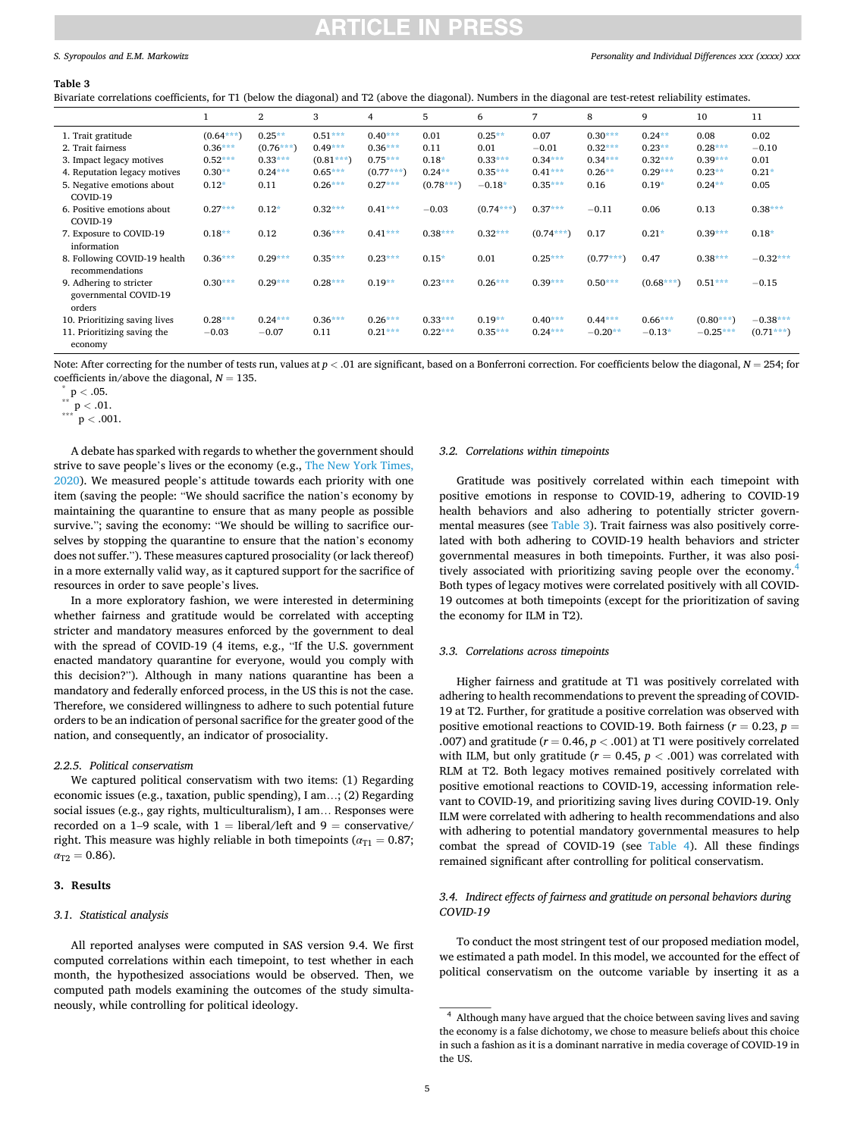## NCLE IN PRE

### <span id="page-4-0"></span>*S. Syropoulos and E.M. Markowitz*

#### **Table 3**

Bivariate correlations coefficients, for T1 (below the diagonal) and T2 (above the diagonal). Numbers in the diagonal are test-retest reliability estimates.

|                                                            |             | $\overline{2}$ | 3           | 4           | 5           | 6           | 7           | 8           | 9           | 10          | 11          |
|------------------------------------------------------------|-------------|----------------|-------------|-------------|-------------|-------------|-------------|-------------|-------------|-------------|-------------|
| 1. Trait gratitude                                         | $(0.64***)$ | $0.25**$       | $0.51***$   | $0.40***$   | 0.01        | $0.25***$   | 0.07        | $0.30***$   | $0.24**$    | 0.08        | 0.02        |
| 2. Trait fairness                                          | $0.36***$   | $(0.76***)$    | $0.49***$   | $0.36***$   | 0.11        | 0.01        | $-0.01$     | $0.32***$   | $0.23**$    | $0.28***$   | $-0.10$     |
| 3. Impact legacy motives                                   | $0.52***$   | $0.33***$      | $(0.81***)$ | $0.75***$   | $0.18*$     | $0.33***$   | $0.34***$   | $0.34***$   | $0.32***$   | $0.39***$   | 0.01        |
| 4. Reputation legacy motives                               | $0.30**$    | $0.24***$      | $0.65***$   | $(0.77***)$ | $0.24**$    | $0.35***$   | $0.41***$   | $0.26**$    | $0.29***$   | $0.23**$    | $0.21*$     |
| 5. Negative emotions about<br>COVID-19                     | $0.12*$     | 0.11           | $0.26***$   | $0.27***$   | $(0.78***)$ | $-0.18*$    | $0.35***$   | 0.16        | $0.19*$     | $0.24***$   | 0.05        |
| 6. Positive emotions about<br>COVID-19                     | $0.27***$   | $0.12*$        | $0.32***$   | $0.41***$   | $-0.03$     | $(0.74***)$ | $0.37***$   | $-0.11$     | 0.06        | 0.13        | $0.38***$   |
| 7. Exposure to COVID-19<br>information                     | $0.18**$    | 0.12           | $0.36***$   | $0.41***$   | $0.38***$   | $0.32***$   | $(0.74***)$ | 0.17        | $0.21*$     | $0.39***$   | $0.18*$     |
| 8. Following COVID-19 health<br>recommendations            | $0.36***$   | $0.29***$      | $0.35***$   | $0.23***$   | $0.15*$     | 0.01        | $0.25***$   | $(0.77***)$ | 0.47        | $0.38***$   | $-0.32***$  |
| 9. Adhering to stricter<br>governmental COVID-19<br>orders | $0.30***$   | $0.29***$      | $0.28***$   | $0.19**$    | $0.23***$   | $0.26***$   | $0.39***$   | $0.50***$   | $(0.68***)$ | $0.51***$   | $-0.15$     |
| 10. Prioritizing saving lives                              | $0.28***$   | $0.24***$      | $0.36***$   | $0.26***$   | $0.33***$   | $0.19**$    | $0.40***$   | $0.44***$   | $0.66***$   | $(0.80***)$ | $-0.38***$  |
| 11. Prioritizing saving the<br>economy                     | $-0.03$     | $-0.07$        | 0.11        | $0.21***$   | $0.22***$   | $0.35***$   | $0.24***$   | $-0.20**$   | $-0.13*$    | $-0.25***$  | $(0.71***)$ |

Note: After correcting for the number of tests run, values at  $p < .01$  are significant, based on a Bonferroni correction. For coefficients below the diagonal,  $N = 254$ ; for coefficients in/above the diagonal, *N* <sup>=</sup> 135. \* <sup>p</sup>*<sup>&</sup>lt;* .05. \*\* <sup>p</sup>*<sup>&</sup>lt;* .01. \*\*\* <sup>p</sup>*<sup>&</sup>lt;* .001.

A debate has sparked with regards to whether the government should strive to save people's lives or the economy (e.g., [The New York Times,](#page-7-0)  [2020\)](#page-7-0). We measured people's attitude towards each priority with one item (saving the people: "We should sacrifice the nation's economy by maintaining the quarantine to ensure that as many people as possible survive."; saving the economy: "We should be willing to sacrifice ourselves by stopping the quarantine to ensure that the nation's economy does not suffer."). These measures captured prosociality (or lack thereof) in a more externally valid way, as it captured support for the sacrifice of resources in order to save people's lives.

In a more exploratory fashion, we were interested in determining whether fairness and gratitude would be correlated with accepting stricter and mandatory measures enforced by the government to deal with the spread of COVID-19 (4 items, e.g., "If the U.S. government enacted mandatory quarantine for everyone, would you comply with this decision?"). Although in many nations quarantine has been a mandatory and federally enforced process, in the US this is not the case. Therefore, we considered willingness to adhere to such potential future orders to be an indication of personal sacrifice for the greater good of the nation, and consequently, an indicator of prosociality.

## *2.2.5. Political conservatism*

We captured political conservatism with two items: (1) Regarding economic issues (e.g., taxation, public spending), I am…; (2) Regarding social issues (e.g., gay rights, multiculturalism), I am… Responses were recorded on a 1–9 scale, with  $1 =$  liberal/left and  $9 =$  conservative/ right. This measure was highly reliable in both timepoints ( $\alpha_{T1} = 0.87$ ;  $\alpha_{\text{T2}} = 0.86$ ).

### **3. Results**

### *3.1. Statistical analysis*

All reported analyses were computed in SAS version 9.4. We first computed correlations within each timepoint, to test whether in each month, the hypothesized associations would be observed. Then, we computed path models examining the outcomes of the study simultaneously, while controlling for political ideology.

### *3.2. Correlations within timepoints*

Gratitude was positively correlated within each timepoint with positive emotions in response to COVID-19, adhering to COVID-19 health behaviors and also adhering to potentially stricter governmental measures (see Table 3). Trait fairness was also positively correlated with both adhering to COVID-19 health behaviors and stricter governmental measures in both timepoints. Further, it was also positively associated with prioritizing saving people over the economy.<sup>4</sup> Both types of legacy motives were correlated positively with all COVID-19 outcomes at both timepoints (except for the prioritization of saving the economy for ILM in T2).

## *3.3. Correlations across timepoints*

Higher fairness and gratitude at T1 was positively correlated with adhering to health recommendations to prevent the spreading of COVID-19 at T2. Further, for gratitude a positive correlation was observed with positive emotional reactions to COVID-19. Both fairness  $(r = 0.23, p = 1)$ .007) and gratitude ( $r = 0.46$ ,  $p < .001$ ) at T1 were positively correlated with ILM, but only gratitude ( $r = 0.45$ ,  $p < .001$ ) was correlated with RLM at T2. Both legacy motives remained positively correlated with positive emotional reactions to COVID-19, accessing information relevant to COVID-19, and prioritizing saving lives during COVID-19. Only ILM were correlated with adhering to health recommendations and also with adhering to potential mandatory governmental measures to help combat the spread of COVID-19 (see [Table 4](#page-5-0)). All these findings remained significant after controlling for political conservatism.

## *3.4. Indirect effects of fairness and gratitude on personal behaviors during COVID-19*

To conduct the most stringent test of our proposed mediation model, we estimated a path model. In this model, we accounted for the effect of political conservatism on the outcome variable by inserting it as a

<sup>4</sup> Although many have argued that the choice between saving lives and saving the economy is a false dichotomy, we chose to measure beliefs about this choice in such a fashion as it is a dominant narrative in media coverage of COVID-19 in the US.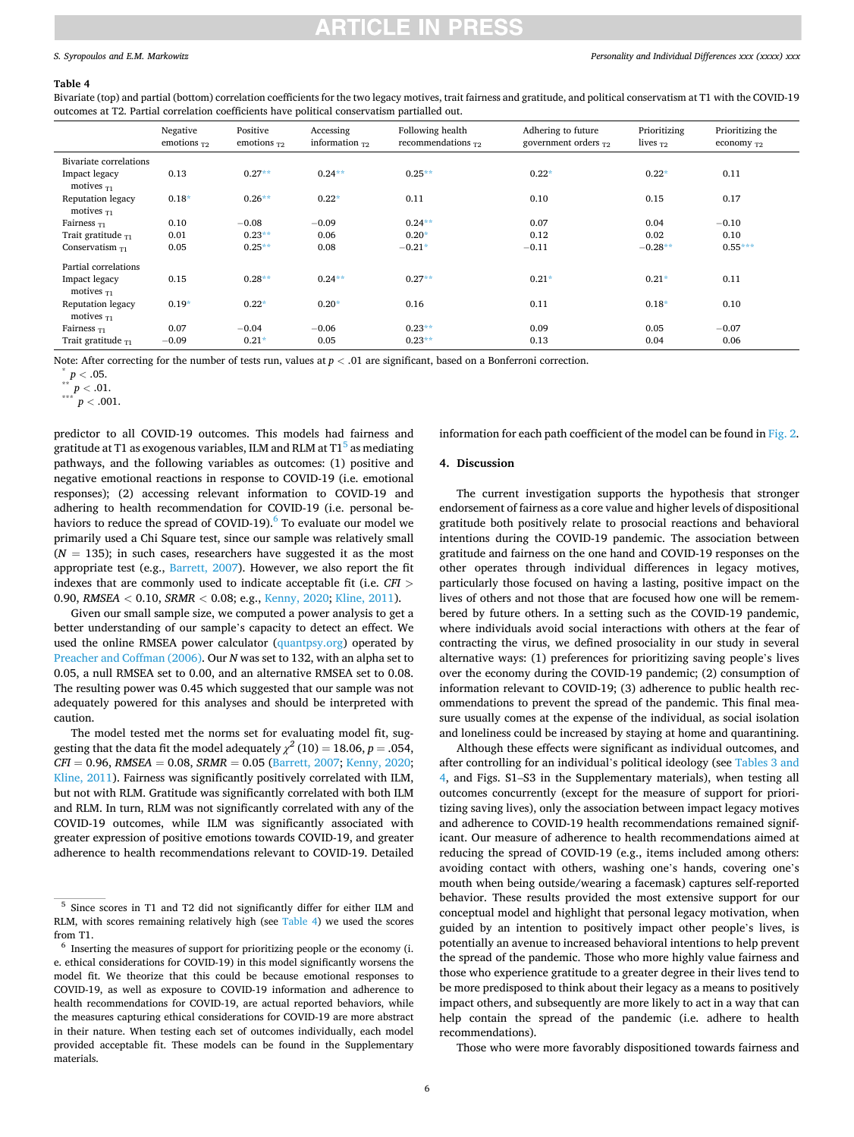### <span id="page-5-0"></span>*S. Syropoulos and E.M. Markowitz*

### *Personality and Individual Differences xxx (xxxx) xxx*

#### **Table 4**

Bivariate (top) and partial (bottom) correlation coefficients for the two legacy motives, trait fairness and gratitude, and political conservatism at T1 with the COVID-19 outcomes at T2. Partial correlation coefficients have political conservatism partialled out.

|                                              | Negative<br>emotions $T2$ | Positive<br>emotions $T2$ | Accessing<br>information $\tau$ | Following health<br>recommendations $_{T2}$ | Adhering to future<br>government orders $_{T2}$ | Prioritizing<br>lives $T2$ | Prioritizing the<br>economy $T_2$ |
|----------------------------------------------|---------------------------|---------------------------|---------------------------------|---------------------------------------------|-------------------------------------------------|----------------------------|-----------------------------------|
| Bivariate correlations                       |                           |                           |                                 |                                             |                                                 |                            |                                   |
| Impact legacy<br>motives $\tau_1$            | 0.13                      | $0.27**$                  | $0.24***$                       | $0.25**$                                    | $0.22*$                                         | $0.22*$                    | 0.11                              |
| <b>Reputation legacy</b><br>motives $\tau_1$ | $0.18*$                   | $0.26***$                 | $0.22*$                         | 0.11                                        | 0.10                                            | 0.15                       | 0.17                              |
| Fairness $_{T1}$                             | 0.10                      | $-0.08$                   | $-0.09$                         | $0.24***$                                   | 0.07                                            | 0.04                       | $-0.10$                           |
| Trait gratitude $_{T1}$                      | 0.01                      | $0.23**$                  | 0.06                            | $0.20*$                                     | 0.12                                            | 0.02                       | 0.10                              |
| Conservatism $_{\text{T1}}$                  | 0.05                      | $0.25***$                 | 0.08                            | $-0.21*$                                    | $-0.11$                                         | $-0.28**$                  | $0.55***$                         |
| Partial correlations                         |                           |                           |                                 |                                             |                                                 |                            |                                   |
| Impact legacy<br>motives $\tau_1$            | 0.15                      | $0.28**$                  | $0.24***$                       | $0.27**$                                    | $0.21*$                                         | $0.21*$                    | 0.11                              |
| <b>Reputation legacy</b><br>motives $T_1$    | $0.19*$                   | $0.22*$                   | $0.20*$                         | 0.16                                        | 0.11                                            | $0.18*$                    | 0.10                              |
| Fairness $T_1$                               | 0.07                      | $-0.04$                   | $-0.06$                         | $0.23**$                                    | 0.09                                            | 0.05                       | $-0.07$                           |
| Trait gratitude $_{T1}$                      | $-0.09$                   | $0.21*$                   | 0.05                            | $0.23**$                                    | 0.13                                            | 0.04                       | 0.06                              |

Note: After correcting for the number of tests run, values at *p* < .01 are significant, based on a Bonferroni correction.<br>
\*\* *p* < .05.<br>
\*\*\* *p* < .001.

predictor to all COVID-19 outcomes. This models had fairness and gratitude at T1 as exogenous variables, ILM and RLM at  $T1<sup>5</sup>$  as mediating pathways, and the following variables as outcomes: (1) positive and negative emotional reactions in response to COVID-19 (i.e. emotional responses); (2) accessing relevant information to COVID-19 and adhering to health recommendation for COVID-19 (i.e. personal behaviors to reduce the spread of COVID-19). $^{6}$  To evaluate our model we primarily used a Chi Square test, since our sample was relatively small  $(N = 135)$ ; in such cases, researchers have suggested it as the most appropriate test (e.g., [Barrett, 2007](#page-7-0)). However, we also report the fit indexes that are commonly used to indicate acceptable fit (i.e. *CFI >* 0.90, *RMSEA <* 0.10, *SRMR <* 0.08; e.g., [Kenny, 2020; Kline, 2011](#page-7-0)).

Given our small sample size, we computed a power analysis to get a better understanding of our sample's capacity to detect an effect. We used the online RMSEA power calculator [\(quantpsy.org](http://quantpsy.org)) operated by [Preacher and Coffman \(2006\).](#page-7-0) Our *N* was set to 132, with an alpha set to 0.05, a null RMSEA set to 0.00, and an alternative RMSEA set to 0.08. The resulting power was 0.45 which suggested that our sample was not adequately powered for this analyses and should be interpreted with caution.

The model tested met the norms set for evaluating model fit, suggesting that the data fit the model adequately  $\chi^2$  (10) = 18.06, *p* = .054, *CFI* = 0.96, *RMSEA* = 0.08, *SRMR* = 0.05 [\(Barrett, 2007](#page-7-0); [Kenny, 2020](#page-7-0); [Kline, 2011\)](#page-7-0). Fairness was significantly positively correlated with ILM, but not with RLM. Gratitude was significantly correlated with both ILM and RLM. In turn, RLM was not significantly correlated with any of the COVID-19 outcomes, while ILM was significantly associated with greater expression of positive emotions towards COVID-19, and greater adherence to health recommendations relevant to COVID-19. Detailed

information for each path coefficient of the model can be found in [Fig. 2](#page-6-0).

### **4. Discussion**

The current investigation supports the hypothesis that stronger endorsement of fairness as a core value and higher levels of dispositional gratitude both positively relate to prosocial reactions and behavioral intentions during the COVID-19 pandemic. The association between gratitude and fairness on the one hand and COVID-19 responses on the other operates through individual differences in legacy motives, particularly those focused on having a lasting, positive impact on the lives of others and not those that are focused how one will be remembered by future others. In a setting such as the COVID-19 pandemic, where individuals avoid social interactions with others at the fear of contracting the virus, we defined prosociality in our study in several alternative ways: (1) preferences for prioritizing saving people's lives over the economy during the COVID-19 pandemic; (2) consumption of information relevant to COVID-19; (3) adherence to public health recommendations to prevent the spread of the pandemic. This final measure usually comes at the expense of the individual, as social isolation and loneliness could be increased by staying at home and quarantining.

Although these effects were significant as individual outcomes, and after controlling for an individual's political ideology (see [Tables 3 and](#page-4-0)  [4](#page-4-0), and Figs. S1–S3 in the Supplementary materials), when testing all outcomes concurrently (except for the measure of support for prioritizing saving lives), only the association between impact legacy motives and adherence to COVID-19 health recommendations remained significant. Our measure of adherence to health recommendations aimed at reducing the spread of COVID-19 (e.g., items included among others: avoiding contact with others, washing one's hands, covering one's mouth when being outside/wearing a facemask) captures self-reported behavior. These results provided the most extensive support for our conceptual model and highlight that personal legacy motivation, when guided by an intention to positively impact other people's lives, is potentially an avenue to increased behavioral intentions to help prevent the spread of the pandemic. Those who more highly value fairness and those who experience gratitude to a greater degree in their lives tend to be more predisposed to think about their legacy as a means to positively impact others, and subsequently are more likely to act in a way that can help contain the spread of the pandemic (i.e. adhere to health recommendations).

Those who were more favorably dispositioned towards fairness and

<sup>5</sup> Since scores in T1 and T2 did not significantly differ for either ILM and RLM, with scores remaining relatively high (see Table 4) we used the scores

from T1.  $^{\rm 6}$  Inserting the measures of support for prioritizing people or the economy (i. e. ethical considerations for COVID-19) in this model significantly worsens the model fit. We theorize that this could be because emotional responses to COVID-19, as well as exposure to COVID-19 information and adherence to health recommendations for COVID-19, are actual reported behaviors, while the measures capturing ethical considerations for COVID-19 are more abstract in their nature. When testing each set of outcomes individually, each model provided acceptable fit. These models can be found in the Supplementary materials.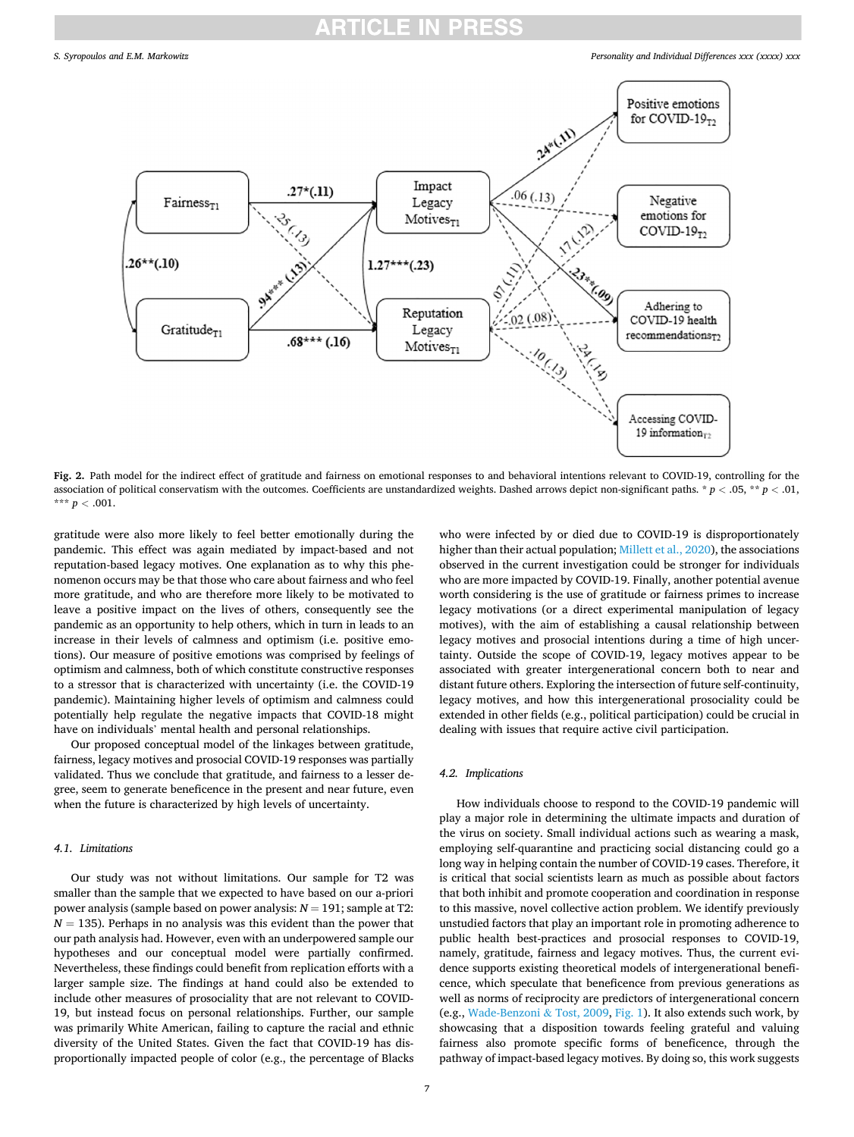<span id="page-6-0"></span>

**Fig. 2.** Path model for the indirect effect of gratitude and fairness on emotional responses to and behavioral intentions relevant to COVID-19, controlling for the association of political conservatism with the outcomes. Coefficients are unstandardized weights. Dashed arrows depict non-significant paths. \* *p <* .05, \*\* *p <* .01, \*\*\*  $p < .001$ .

gratitude were also more likely to feel better emotionally during the pandemic. This effect was again mediated by impact-based and not reputation-based legacy motives. One explanation as to why this phenomenon occurs may be that those who care about fairness and who feel more gratitude, and who are therefore more likely to be motivated to leave a positive impact on the lives of others, consequently see the pandemic as an opportunity to help others, which in turn in leads to an increase in their levels of calmness and optimism (i.e. positive emotions). Our measure of positive emotions was comprised by feelings of optimism and calmness, both of which constitute constructive responses to a stressor that is characterized with uncertainty (i.e. the COVID-19 pandemic). Maintaining higher levels of optimism and calmness could potentially help regulate the negative impacts that COVID-18 might have on individuals' mental health and personal relationships.

Our proposed conceptual model of the linkages between gratitude, fairness, legacy motives and prosocial COVID-19 responses was partially validated. Thus we conclude that gratitude, and fairness to a lesser degree, seem to generate beneficence in the present and near future, even when the future is characterized by high levels of uncertainty.

## *4.1. Limitations*

Our study was not without limitations. Our sample for T2 was smaller than the sample that we expected to have based on our a-priori power analysis (sample based on power analysis: *N* = 191; sample at T2:  $N = 135$ ). Perhaps in no analysis was this evident than the power that our path analysis had. However, even with an underpowered sample our hypotheses and our conceptual model were partially confirmed. Nevertheless, these findings could benefit from replication efforts with a larger sample size. The findings at hand could also be extended to include other measures of prosociality that are not relevant to COVID-19, but instead focus on personal relationships. Further, our sample was primarily White American, failing to capture the racial and ethnic diversity of the United States. Given the fact that COVID-19 has disproportionally impacted people of color (e.g., the percentage of Blacks

who were infected by or died due to COVID-19 is disproportionately higher than their actual population; [Millett et al., 2020\)](#page-7-0), the associations observed in the current investigation could be stronger for individuals who are more impacted by COVID-19. Finally, another potential avenue worth considering is the use of gratitude or fairness primes to increase legacy motivations (or a direct experimental manipulation of legacy motives), with the aim of establishing a causal relationship between legacy motives and prosocial intentions during a time of high uncertainty. Outside the scope of COVID-19, legacy motives appear to be associated with greater intergenerational concern both to near and distant future others. Exploring the intersection of future self-continuity, legacy motives, and how this intergenerational prosociality could be extended in other fields (e.g., political participation) could be crucial in dealing with issues that require active civil participation.

## *4.2. Implications*

How individuals choose to respond to the COVID-19 pandemic will play a major role in determining the ultimate impacts and duration of the virus on society. Small individual actions such as wearing a mask, employing self-quarantine and practicing social distancing could go a long way in helping contain the number of COVID-19 cases. Therefore, it is critical that social scientists learn as much as possible about factors that both inhibit and promote cooperation and coordination in response to this massive, novel collective action problem. We identify previously unstudied factors that play an important role in promoting adherence to public health best-practices and prosocial responses to COVID-19, namely, gratitude, fairness and legacy motives. Thus, the current evidence supports existing theoretical models of intergenerational beneficence, which speculate that beneficence from previous generations as well as norms of reciprocity are predictors of intergenerational concern (e.g., [Wade-Benzoni](#page-7-0) & Tost, 2009, [Fig. 1\)](#page-3-0). It also extends such work, by showcasing that a disposition towards feeling grateful and valuing fairness also promote specific forms of beneficence, through the pathway of impact-based legacy motives. By doing so, this work suggests